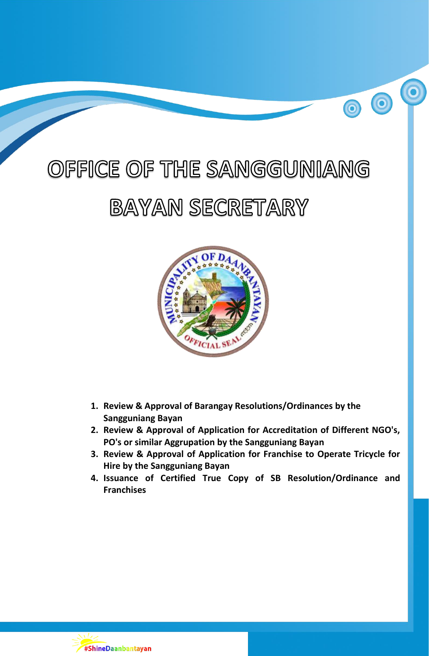# OFFICE OF THE SANGGUNIANG **BAYAN SECRETARY**

 $\bigcirc$ 

 $\bigcirc$ 



- **1. Review & Approval of Barangay Resolutions/Ordinances by the Sangguniang Bayan**
- **2. Review & Approval of Application for Accreditation of Different NGO's, PO's or similar Aggrupation by the Sangguniang Bayan**
- **3. Review & Approval of Application for Franchise to Operate Tricycle for Hire by the Sangguniang Bayan**
- **4. Issuance of Certified True Copy of SB Resolution/Ordinance and Franchises**

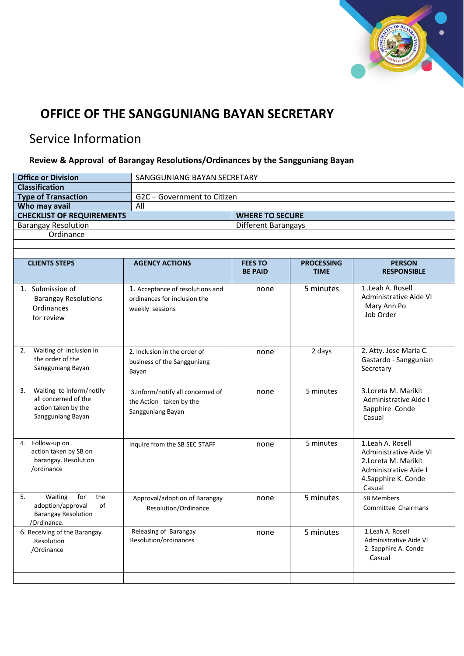

# **OFFICE OF THE SANGGUNIANG BAYAN SECRETARY**

# Service Information

## **Review & Approval of Barangay Resolutions/Ordinances by the Sangguniang Bayan**

| <b>Office or Division</b>                                                                           | SANGGUNIANG BAYAN SECRETARY                                                         |                                  |                                  |                                                                                                                             |  |
|-----------------------------------------------------------------------------------------------------|-------------------------------------------------------------------------------------|----------------------------------|----------------------------------|-----------------------------------------------------------------------------------------------------------------------------|--|
| <b>Classification</b>                                                                               |                                                                                     |                                  |                                  |                                                                                                                             |  |
| <b>Type of Transaction</b>                                                                          | G2C - Government to Citizen                                                         |                                  |                                  |                                                                                                                             |  |
| Who may avail                                                                                       | All                                                                                 |                                  |                                  |                                                                                                                             |  |
| <b>CHECKLIST OF REQUIREMENTS</b>                                                                    |                                                                                     | <b>WHERE TO SECURE</b>           |                                  |                                                                                                                             |  |
| <b>Barangay Resolution</b>                                                                          |                                                                                     | <b>Different Barangays</b>       |                                  |                                                                                                                             |  |
| Ordinance                                                                                           |                                                                                     |                                  |                                  |                                                                                                                             |  |
|                                                                                                     |                                                                                     |                                  |                                  |                                                                                                                             |  |
|                                                                                                     |                                                                                     |                                  |                                  |                                                                                                                             |  |
| <b>CLIENTS STEPS</b>                                                                                | <b>AGENCY ACTIONS</b>                                                               | <b>FEES TO</b><br><b>BE PAID</b> | <b>PROCESSING</b><br><b>TIME</b> | <b>PERSON</b><br><b>RESPONSIBLE</b>                                                                                         |  |
| 1. Submission of<br><b>Barangay Resolutions</b><br>Ordinances<br>for review                         | 1. Acceptance of resolutions and<br>ordinances for inclusion the<br>weekly sessions | none                             | 5 minutes                        | 1. Leah A. Rosell<br>Administrative Aide VI<br>Mary Ann Po<br>Job Order                                                     |  |
| Waiting of inclusion in<br>2.<br>the order of the<br>Sangguniang Bayan                              | 2. Inclusion in the order of<br>business of the Sangguniang<br>Bayan                | none                             | 2 days                           | 2. Atty. Jose Maria C.<br>Gastardo - Sanggunian<br>Secretary                                                                |  |
| Waiting to inform/notify<br>3.<br>all concerned of the<br>action taken by the<br>Sangguniang Bayan  | 3.Inform/notify all concerned of<br>the Action taken by the<br>Sangguniang Bayan    | none                             | 5 minutes                        | 3.Loreta M. Marikit<br>Administrative Aide I<br>Sapphire Conde<br>Casual                                                    |  |
| Follow-up on<br>4.<br>action taken by SB on<br>barangay. Resolution<br>/ordinance                   | Inquire from the SB SEC STAFF                                                       | none                             | 5 minutes                        | 1.Leah A. Rosell<br>Administrative Aide VI<br>2.Loreta M. Marikit<br>Administrative Aide I<br>4.Sapphire K. Conde<br>Casual |  |
| 5.<br>Waiting<br>for<br>the<br>of<br>adoption/approval<br><b>Barangay Resolution</b><br>/Ordinance. | Approval/adoption of Barangay<br>Resolution/Ordinance                               | none                             | 5 minutes                        | <b>SB Members</b><br>Committee Chairmans                                                                                    |  |
| 6. Receiving of the Barangay<br>Resolution<br>/Ordinance                                            | Releasing of Barangay<br>Resolution/ordinances                                      | none                             | 5 minutes                        | 1.Leah A. Rosell<br>Administrative Aide VI<br>2. Sapphire A. Conde<br>Casual                                                |  |
|                                                                                                     |                                                                                     |                                  |                                  |                                                                                                                             |  |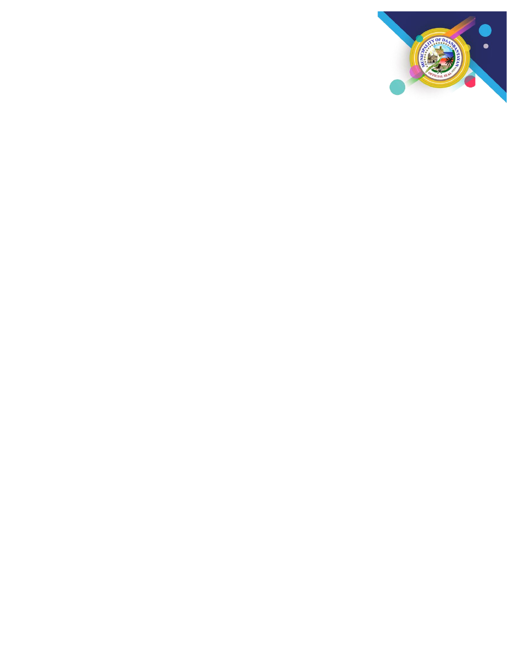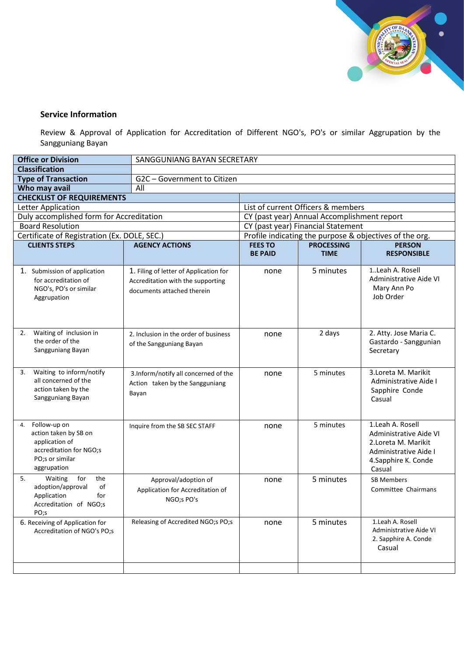

#### **Service Information**

Review & Approval of Application for Accreditation of Different NGO's, PO's or similar Aggrupation by the Sangguniang Bayan

| <b>Office or Division</b>                                                                                                  | SANGGUNIANG BAYAN SECRETARY                                                                               |                                                         |                                  |                                                                                                                             |
|----------------------------------------------------------------------------------------------------------------------------|-----------------------------------------------------------------------------------------------------------|---------------------------------------------------------|----------------------------------|-----------------------------------------------------------------------------------------------------------------------------|
| <b>Classification</b>                                                                                                      |                                                                                                           |                                                         |                                  |                                                                                                                             |
| <b>Type of Transaction</b>                                                                                                 | G2C - Government to Citizen                                                                               |                                                         |                                  |                                                                                                                             |
| Who may avail                                                                                                              | All                                                                                                       |                                                         |                                  |                                                                                                                             |
| <b>CHECKLIST OF REQUIREMENTS</b>                                                                                           |                                                                                                           |                                                         |                                  |                                                                                                                             |
| Letter Application                                                                                                         |                                                                                                           | List of current Officers & members                      |                                  |                                                                                                                             |
| Duly accomplished form for Accreditation                                                                                   |                                                                                                           | CY (past year) Annual Accomplishment report             |                                  |                                                                                                                             |
| <b>Board Resolution</b>                                                                                                    |                                                                                                           | CY (past year) Financial Statement                      |                                  |                                                                                                                             |
| Certificate of Registration (Ex. DOLE, SEC.)                                                                               |                                                                                                           | Profile indicating the purpose & objectives of the org. |                                  |                                                                                                                             |
| <b>CLIENTS STEPS</b>                                                                                                       | <b>AGENCY ACTIONS</b>                                                                                     | <b>FEES TO</b><br><b>BE PAID</b>                        | <b>PROCESSING</b><br><b>TIME</b> | <b>PERSON</b><br><b>RESPONSIBLE</b>                                                                                         |
| 1. Submission of application<br>for accreditation of<br>NGO's, PO's or similar<br>Aggrupation                              | 1. Filing of letter of Application for<br>Accreditation with the supporting<br>documents attached therein | none                                                    | 5 minutes                        | 1. Leah A. Rosell<br>Administrative Aide VI<br>Mary Ann Po<br>Job Order                                                     |
| Waiting of inclusion in<br>2.<br>the order of the<br>Sangguniang Bayan                                                     | 2. Inclusion in the order of business<br>of the Sangguniang Bayan                                         | none                                                    | 2 days                           | 2. Atty. Jose Maria C.<br>Gastardo - Sanggunian<br>Secretary                                                                |
| Waiting to inform/notify<br>3.<br>all concerned of the<br>action taken by the<br>Sangguniang Bayan                         | 3.Inform/notify all concerned of the<br>Action taken by the Sangguniang<br>Bayan                          | none                                                    | 5 minutes                        | 3.Loreta M. Marikit<br>Administrative Aide I<br>Sapphire Conde<br>Casual                                                    |
| Follow-up on<br>4.<br>action taken by SB on<br>application of<br>accreditation for NGO;s<br>PO;s or similar<br>aggrupation | Inquire from the SB SEC STAFF                                                                             | none                                                    | 5 minutes                        | 1.Leah A. Rosell<br>Administrative Aide VI<br>2.Loreta M. Marikit<br>Administrative Aide I<br>4.Sapphire K. Conde<br>Casual |
| Waiting<br>for<br>the<br>5.<br>adoption/approval<br>of<br>Application<br>for<br>Accreditation of NGO;s<br>PO;s             | Approval/adoption of<br>Application for Accreditation of<br>NGO;s PO's                                    | none                                                    | 5 minutes                        | <b>SB Members</b><br>Committee Chairmans                                                                                    |
| 6. Receiving of Application for<br>Accreditation of NGO's PO;s                                                             | Releasing of Accredited NGO;s PO;s                                                                        | none                                                    | 5 minutes                        | 1.Leah A. Rosell<br>Administrative Aide VI<br>2. Sapphire A. Conde<br>Casual                                                |
|                                                                                                                            |                                                                                                           |                                                         |                                  |                                                                                                                             |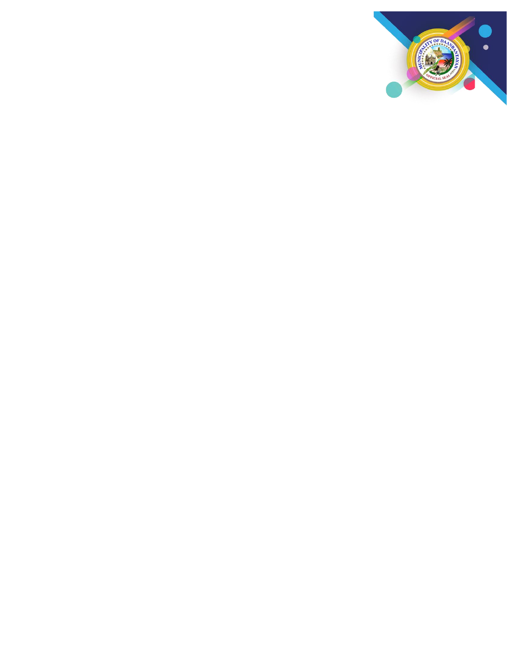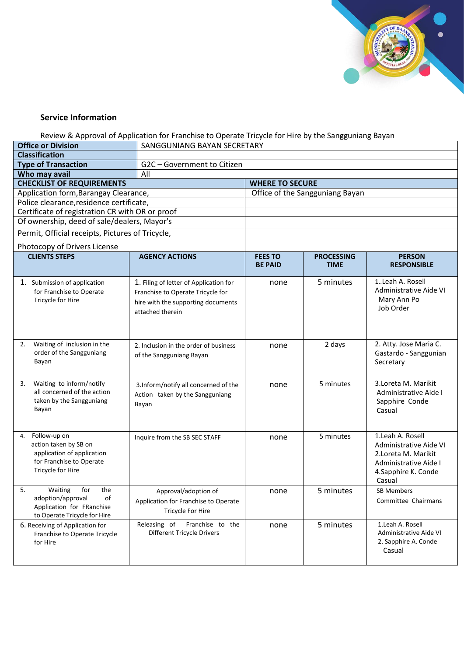

#### **Service Information**

## Review & Approval of Application for Franchise to Operate Tricycle for Hire by the Sangguniang Bayan

| <b>Office or Division</b>                                                                                                  | SANGGUNIANG BAYAN SECRETARY                                                                                                           |                                  |                                  |                                                                                                                              |
|----------------------------------------------------------------------------------------------------------------------------|---------------------------------------------------------------------------------------------------------------------------------------|----------------------------------|----------------------------------|------------------------------------------------------------------------------------------------------------------------------|
| <b>Classification</b>                                                                                                      |                                                                                                                                       |                                  |                                  |                                                                                                                              |
| <b>Type of Transaction</b>                                                                                                 | G2C - Government to Citizen                                                                                                           |                                  |                                  |                                                                                                                              |
| Who may avail                                                                                                              | All                                                                                                                                   |                                  |                                  |                                                                                                                              |
| <b>CHECKLIST OF REQUIREMENTS</b>                                                                                           |                                                                                                                                       | <b>WHERE TO SECURE</b>           |                                  |                                                                                                                              |
| Application form, Barangay Clearance,                                                                                      |                                                                                                                                       |                                  | Office of the Sangguniang Bayan  |                                                                                                                              |
| Police clearance, residence certificate,                                                                                   |                                                                                                                                       |                                  |                                  |                                                                                                                              |
| Certificate of registration CR with OR or proof                                                                            |                                                                                                                                       |                                  |                                  |                                                                                                                              |
| Of ownership, deed of sale/dealers, Mayor's                                                                                |                                                                                                                                       |                                  |                                  |                                                                                                                              |
| Permit, Official receipts, Pictures of Tricycle,                                                                           |                                                                                                                                       |                                  |                                  |                                                                                                                              |
| Photocopy of Drivers License                                                                                               |                                                                                                                                       |                                  |                                  |                                                                                                                              |
| <b>CLIENTS STEPS</b>                                                                                                       | <b>AGENCY ACTIONS</b>                                                                                                                 | <b>FEES TO</b><br><b>BE PAID</b> | <b>PROCESSING</b><br><b>TIME</b> | <b>PERSON</b><br><b>RESPONSIBLE</b>                                                                                          |
| 1. Submission of application<br>for Franchise to Operate<br>Tricycle for Hire                                              | 1. Filing of letter of Application for<br>Franchise to Operate Tricycle for<br>hire with the supporting documents<br>attached therein | none                             | 5 minutes                        | 1. Leah A. Rosell<br>Administrative Aide VI<br>Mary Ann Po<br>Job Order                                                      |
| Waiting of inclusion in the<br>2.<br>order of the Sangguniang<br>Bayan                                                     | 2. Inclusion in the order of business<br>of the Sangguniang Bayan                                                                     | none                             | 2 days                           | 2. Atty. Jose Maria C.<br>Gastardo - Sanggunian<br>Secretary                                                                 |
| Waiting to inform/notify<br>3.<br>all concerned of the action<br>taken by the Sangguniang<br>Bayan                         | 3.Inform/notify all concerned of the<br>Action taken by the Sangguniang<br>Bayan                                                      | none                             | 5 minutes                        | 3.Loreta M. Marikit<br>Administrative Aide I<br>Sapphire Conde<br>Casual                                                     |
| Follow-up on<br>4.<br>action taken by SB on<br>application of application<br>for Franchise to Operate<br>Tricycle for Hire | Inquire from the SB SEC STAFF                                                                                                         | none                             | 5 minutes                        | 1.Leah A. Rosell<br>Administrative Aide VI<br>2. Loreta M. Marikit<br>Administrative Aide I<br>4.Sapphire K. Conde<br>Casual |
| 5.<br>Waiting<br>for<br>the<br>adoption/approval<br>of<br>Application for FRanchise<br>to Operate Tricycle for Hire        | Approval/adoption of<br>Application for Franchise to Operate<br><b>Tricycle For Hire</b>                                              | none                             | 5 minutes                        | SB Members<br>Committee Chairmans                                                                                            |
| 6. Receiving of Application for<br>Franchise to Operate Tricycle<br>for Hire                                               | Releasing of<br>Franchise to the<br>Different Tricycle Drivers                                                                        | none                             | 5 minutes                        | 1.Leah A. Rosell<br>Administrative Aide VI<br>2. Sapphire A. Conde<br>Casual                                                 |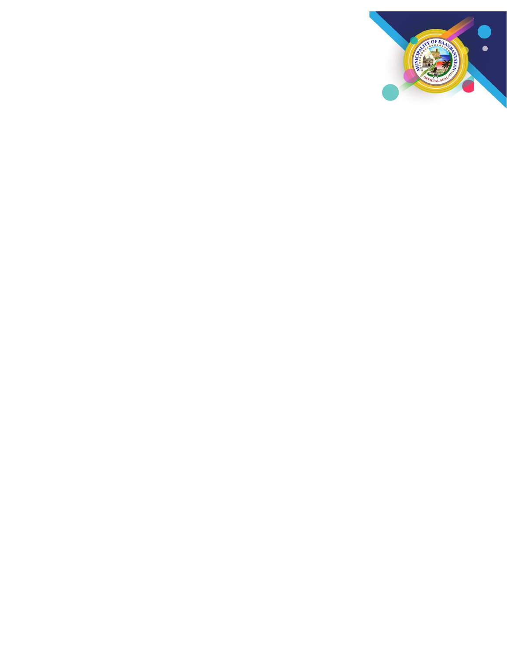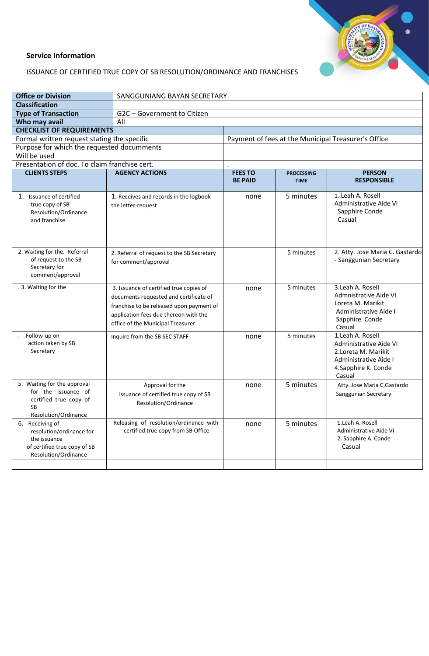

#### **Service Information**

## ISSUANCE OF CERTIFIED TRUE COPY OF SB RESOLUTION/ORDINANCE AND FRANCHISES

| <b>Office or Division</b>                                                                                           | SANGGUNIANG BAYAN SECRETARY                                                                                                                                                                                 |                                  |                                  |                                                                                                                              |
|---------------------------------------------------------------------------------------------------------------------|-------------------------------------------------------------------------------------------------------------------------------------------------------------------------------------------------------------|----------------------------------|----------------------------------|------------------------------------------------------------------------------------------------------------------------------|
| <b>Classification</b>                                                                                               |                                                                                                                                                                                                             |                                  |                                  |                                                                                                                              |
| <b>Type of Transaction</b>                                                                                          | G2C - Government to Citizen                                                                                                                                                                                 |                                  |                                  |                                                                                                                              |
| Who may avail                                                                                                       | All                                                                                                                                                                                                         |                                  |                                  |                                                                                                                              |
| <b>CHECKLIST OF REQUIREMENTS</b>                                                                                    |                                                                                                                                                                                                             |                                  |                                  |                                                                                                                              |
| Formal written request stating the specific                                                                         |                                                                                                                                                                                                             |                                  |                                  | Payment of fees at the Municipal Treasurer's Office                                                                          |
| Purpose for which the requested documments                                                                          |                                                                                                                                                                                                             |                                  |                                  |                                                                                                                              |
| Will be used                                                                                                        |                                                                                                                                                                                                             |                                  |                                  |                                                                                                                              |
| Presentation of doc. To claim franchise cert.                                                                       |                                                                                                                                                                                                             |                                  |                                  |                                                                                                                              |
| <b>CLIENTS STEPS</b>                                                                                                | <b>AGENCY ACTIONS</b>                                                                                                                                                                                       | <b>FEES TO</b><br><b>BE PAID</b> | <b>PROCESSING</b><br><b>TIME</b> | <b>PERSON</b><br><b>RESPONSIBLE</b>                                                                                          |
| 1. Issuance of certified<br>true copy of SB<br>Resolution/Ordinance<br>and franchise                                | 1. Receives and records in the logbook<br>the letter-request                                                                                                                                                | none                             | 5 minutes                        | 1. Leah A. Rosell<br>Administrative Aide VI<br>Sapphire Conde<br>Casual                                                      |
| 2. Waiting for the. Referral<br>of request to the SB<br>Secretary for<br>comment/approval                           | 2. Referral of request to the SB Secretary<br>for comment/approval                                                                                                                                          |                                  | 5 minutes                        | 2. Atty. Jose Maria C. Gastardo<br>- Sanggunian Secretary                                                                    |
| .3. Waiting for the                                                                                                 | 3. Issuance of certified true copies of<br>documents requested and certificate of<br>franchise to be released upon payment of<br>application fees due thereon with the<br>office of the Municipal Treasurer | none                             | 5 minutes                        | 3. Leah A. Rosell<br>Admnistrative Aide VI<br>Loreta M. Marikit<br>Administrative Aide I<br>Sapphire Conde<br>Casual         |
| Follow-up on<br>action taken by SB<br>Secretary                                                                     | Inquire from the SB SEC STAFF                                                                                                                                                                               | none                             | 5 minutes                        | 1.Leah A. Rosell<br>Administrative Aide VI<br>2. Loreta M. Marikit<br>Administrative Aide I<br>4.Sapphire K. Conde<br>Casual |
| 5. Waiting for the approval<br>for the issuance of<br>certified true copy of<br>SB<br>Resolution/Ordinance          | Approval for the<br>issuance of certified true copy of SB<br>Resolution/Ordinance                                                                                                                           | none                             | 5 minutes                        | Atty. Jose Maria C, Gastardo<br>Sanggunian Secretary                                                                         |
| 6. Receiving of<br>resolution/ordinance for<br>the issuance<br>of certified true copy of SB<br>Resolution/Ordinance | Releasing of resolution/ordinance with<br>certified true copy from SB Office                                                                                                                                | none                             | 5 minutes                        | 1.Leah A. Rosell<br>Administrative Aide VI<br>2. Sapphire A. Conde<br>Casual                                                 |
|                                                                                                                     |                                                                                                                                                                                                             |                                  |                                  |                                                                                                                              |